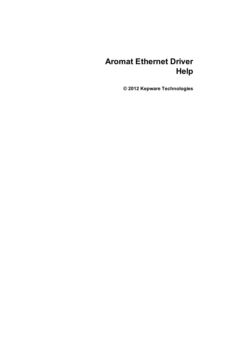# **Aromat Ethernet Driver Help**

**© 2012 Kepware Technologies**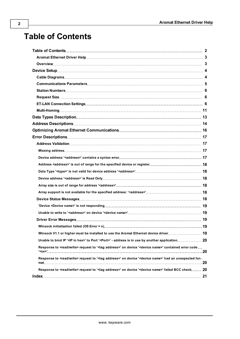# <span id="page-1-0"></span>**Table of Contents**

| Response to <read write=""> request to '<tag address="">' on device '<device name="">' contained error code </device></tag></read>   |  |
|--------------------------------------------------------------------------------------------------------------------------------------|--|
| Response to <read write=""> request to '<tag address="">' on device '<device name="">' had an unexpected for-.</device></tag></read> |  |
| Response to <read write=""> request to '<tag address="">' on device '<device name="">' failed BCC check 20</device></tag></read>     |  |
|                                                                                                                                      |  |
|                                                                                                                                      |  |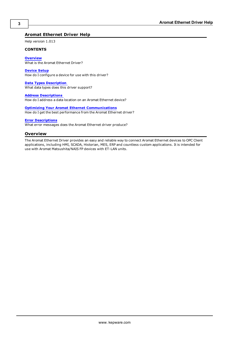## <span id="page-2-0"></span>**Aromat Ethernet Driver Help**

Help version 1.013

#### **CONTENTS**

**[Overview](#page-2-1)** What is the Aromat Ethernet Driver?

**[Device](#page-3-0) [Setup](#page-3-0)** How do I configure a device for use with this driver?

**[Data](#page-12-0) [Types](#page-12-0) [Description](#page-12-0)** What data types does this driver support?

**[Address](#page-13-0) [Descriptions](#page-13-0)** How do I address a data location on an Aromat Ethernet device?

**[Optimizing](#page-15-0) [Your](#page-15-0) [Aromat](#page-15-0) [Ethernet](#page-15-0) [Communications](#page-15-0)** How do I get the best performance from the Aromat Ethernet driver?

#### **[Error](#page-16-0) [Descriptions](#page-16-0)**

<span id="page-2-1"></span>What error messages does the Aromat Ethernet driver produce?

#### **Overview**

The Aromat Ethernet Driver provides an easy and reliable way to connect Aromat Ethernet devices to OPC Client applications, including HMI, SCADA, Historian, MES, ERP and countless custom applications. It is intended for use with Aromat Matsushita/NAIS FP devices with ET-LAN units.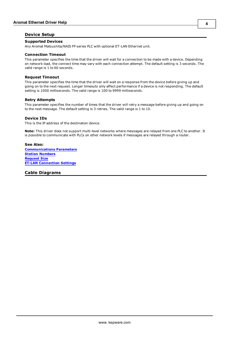## <span id="page-3-0"></span>**Device Setup**

#### **Supported Devices**

Any Aromat Matsushita/NAIS FP series PLC with optional ET-LAN Ethernet unit.

#### <span id="page-3-3"></span>**Connection Timeout**

This parameter specifies the time that the driver will wait for a connection to be made with a device. Depending on network load, the connect time may vary with each connection attempt. The default setting is 3 seconds. The valid range is 1 to 60 seconds.

#### **Request Timeout**

This parameter specifies the time that the driver will wait on a response from the device before giving up and going on to the next request. Longer timeouts only affect performance if a device is not responding. The default setting is 1000 milliseconds. The valid range is 100 to 9999 milliseconds.

#### **Retry Attempts**

This parameter specifies the number of times that the driver will retry a message before giving up and going on to the next message. The default setting is 3 retries. The valid range is 1 to 10.

#### <span id="page-3-2"></span>**Device IDs**

This is the IP address of the destination device.

**Note:** This driver does not support multi-level networks where messages are relayed from one PLC to another. It is possible to communicate with PLCs on other network levels if messages are relayed through a router.

#### **See Also: [Communications](#page-4-0) [Parameters](#page-4-0) [Station](#page-5-0) [Numbers](#page-5-0) [Request](#page-5-1) [Size](#page-5-1) [ET-LAN](#page-5-2) [Connection](#page-5-2) [Settings](#page-5-2)**

<span id="page-3-1"></span>**Cable Diagrams**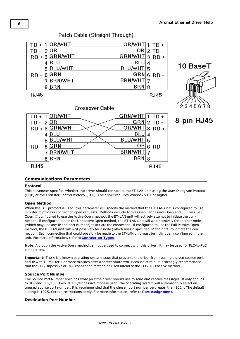

# Patch Cable (Straight Through)

## <span id="page-4-0"></span>**Communications Parameters**

#### **Protocol**

This parameter specifies whether the driver should connect to the ET-LAN unit using the User Datagram Protocol (UDP) or the Transfer Control Protocol (TCP). The driver requires Winsock V1.1 or higher.

## **Open Method**

When the TCP protocol is used, this parameter will specify the method that the ET-LAN unit is configured to use in order to process connection open requests. Methods include Active Open, Unpassive Open and Full Passive Open. If configured to use the Active Open method, the ET-LAN unit will actively attempt to initiate the connection. If configured to use the Unpassive Open method, the ET-LAN unit will wait passively for another node (which may use any IP and port number) to initiate the connection. If configured to use the Full Passive Open method, the ET-LAN unit will wait passively for a node (which uses a specified IP and port) to initiate the connection. Each connection that could possibly be made to the ET-LAN unit must be individually configured in the unit. For more information, refer to **[Connection](#page-5-3) [Types](#page-5-3)**.

**Note:** Although the Active Open method cannot be used to connect with this driver, it may be used for PLC-to-PLC connections.

**Important:** There is a known operating system issue that prevents the driver from reusing a given source port and IP with TCP/IP for 4 or more minutes after a server shutdown. Because of this, it is strongly recommended that the TCP/Unpassive or UDP connection method be used intead of the TCP/Full Passive method.

#### **Source Port Number**

The Source Port Number specifies what port the driver should use to send and receive messages. It only applies to UDP and TCP/Full Open. If TCP/Unpassive mode is used, the operating system will automatically select an unused source port number. It is recommended that the chosen port number be greater than 1024. The default setting is 1025. Certain restrictions apply. For more information, refer to **[Port](#page-6-0) [Assignment](#page-6-0)**.

## **Destination Port Number**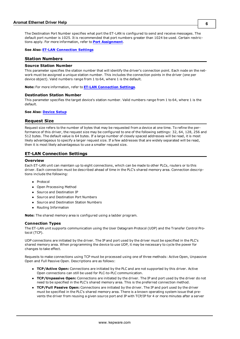The Destination Port Number specifies what port the ET-LAN is configured to send and receive messages. The default port number is 1025. It is recommended that port numbers greater than 1024 be used. Certain restrictions apply. For more information, refer to **[Port](#page-6-0) [Assignment](#page-6-0)**.

<span id="page-5-0"></span>**See Also: [ET-LAN](#page-5-2) [Connection](#page-5-2) [Settings](#page-5-2)**

#### **Station Numbers**

#### **Source Station Number**

This parameter specifies the station number that will identify the driver's connection point. Each node on the network must be assigned a unique station number. This includes the connection points in the driver (one per device object). Valid numbers range from 1 to 64, where 1 is the default.

**Note:** For more information, refer to **[ET-LAN](#page-5-2) [Connection](#page-5-2) [Settings](#page-5-2)**.

#### **Destination Station Number**

This parameter specifies the target device's station number. Valid numbers range from 1 to 64, where 1 is the default.

#### <span id="page-5-1"></span>**See Also: [Device](#page-3-0) [Setup](#page-3-0)**

#### **Request Size**

Request size refers to the number of bytes that may be requested from a device at one time. To refine the performance of this driver, the request size may be configured to one of the following settings: 32, 64, 128, 256 and 512 bytes. The default value is 64 bytes. If a large number of closely spaced addresses will be read, it is most likely advantageous to specify a larger request size. If a few addresses that are widely separated will be read, then it is most likely advantageous to use a smaller request size.

#### <span id="page-5-2"></span>**ET-LAN Connection Settings**

#### **Overview**

Each ET-LAN unit can maintain up to eight connections, which can be made to other PLCs, routers or to this driver. Each connection must be described ahead of time in the PLC's shared memory area. Connection descriptions include the following:

- Protocol
- Open Processing Method
- Source and Destination IP
- Source and Destination Port Numbers
- **•** Source and Destination Station Numbers
- Routing Information

<span id="page-5-3"></span>**Note:** The shared memory area is configured using a ladder program.

#### **Connection Types**

The ET-LAN unit supports communication using the User Datagram Protocol (UDP) and the Transfer Control Protocol (TCP).

UDP connections are initiated by the driver. The IP and port used by the driver must be specified in the PLC's shared memory area. When programming the device to use UDP, it may be necessary to cycle the power for changes to take effect.

Requests to make connections using TCP must be processed using one of three methods: Active Open, Unpassive Open and Full Passive Open. Descriptions are as follows:

- **TCP/Active Open:** Connections are initiated by the PLC and are not supported by this driver. Active Open connections can still be used for PLC-to-PLC communication.
- **TCP/Unpassive Open:** Connections are initiated by the driver. The IP and port used by the driver do not need to be specified in the PLC's shared memory area. This is the preferred connection method.
- **TCP/Full Passive Open:** Connections are initiated by the driver. The IP and port used by the driver must be specified in the PLC's shared memory area. There is a known operating system issue that prevents the driver from reusing a given source port and IP with TCP/IP for 4 or more minutes after a server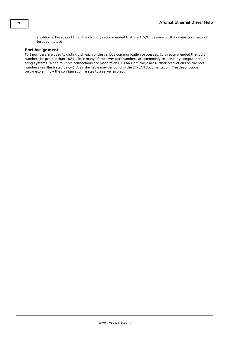<span id="page-6-0"></span>shutdown. Because of this, it is strongly recommended that the TCP/Unpassive or UDP connection method be used instead.

#### **Port Assignment**

Port numbers are used to distinguish each of the various communication processes. It is recommended that port numbers be greater than 1024, since many of the lower port numbers are commonly reserved by computer operating systems. When multiple connections are made to an ET-LAN unit, there are further restrictions on the port numbers (as illustrated below). A similar table may be found in the ET-LAN documentation. The descriptions below explain how the configuration relates to a server project.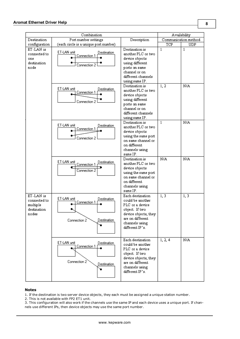|                                                               | Combination                                                               |                                                                                                                                                                       |                        | Availability         |
|---------------------------------------------------------------|---------------------------------------------------------------------------|-----------------------------------------------------------------------------------------------------------------------------------------------------------------------|------------------------|----------------------|
| Destination                                                   | Port number settings<br>Description                                       |                                                                                                                                                                       |                        | Communication method |
| configuration                                                 | (each circle is a unique port number)                                     |                                                                                                                                                                       | TCP                    | UDP                  |
| ET-LAN is<br>connected to<br>one<br>destination<br>node       | ET-LAN unit<br>Destination<br>Connection 1<br>Connection 2                | Destination is<br>another PLC or two<br>device objects<br>using different<br>ports on same<br>channel or on<br>different channels<br>using same IP.<br>Destination is | $\overline{1}$<br>1, 2 | $\mathbf{1}$<br>N/A  |
|                                                               | ET-LAN unit<br>Destination<br>Connection 1<br>Connection 2                | another PLC or two<br>device objects<br>using different<br>ports on same<br>channel or on<br>different channels<br>using same IP.                                     |                        |                      |
|                                                               | ET-LAN unit<br>Destination<br>Connection 1<br>Connection 2                | Destination is<br>another PLC or two<br>device objects<br>using the same port<br>on same channel or<br>on different.<br>channels using<br>same IP.                    | $\mathbf{1}$           | N/A                  |
|                                                               | ET-LAN unit<br>Destination<br>Connection 1<br>Connection 2                | Destination is<br>another PLC or two<br>device objects<br>using the same port<br>on same channel or<br>on different<br>channels using<br>same IP.                     | N/A                    | N/A                  |
| ET-LAN is<br>connected to<br>multiple<br>destination<br>nodes | ET-LAN unit<br>Destination<br>Connection 1<br>Destination<br>Connection 2 | Each destination<br>could be another<br>PLC or a device<br>object. If two<br>device objects, they<br>are on different<br>channels using<br>different IP's.            | 1, 3                   | 1, 3                 |
|                                                               | ET-LAN unit<br>Destination<br>Connection 1<br>Connection 2<br>Destination | Each destination<br>could be another<br>PLC or a device<br>object. If two<br>device objects, they<br>are on different<br>channels using<br>different IP's.            | 1, 2, 4                | N/A                  |

#### **Notes**

1. If the destination is two server device objects, they each must be assigned a unique station number.

2. This is not available with FP2 ET1 unit.

3. This configuration will also work if the channels use the same IP and each device uses a unique port. If channels use different IPs, then device objects may use the same port number.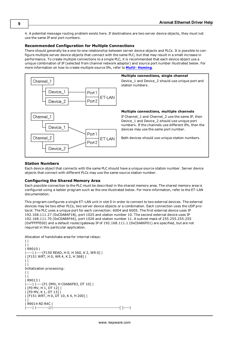4. A potential message routing problem exists here. If destinations are two server device objects, they must not use the same IP and port numbers.

#### **Recommended Configuration for Multiple Connections**

There should generally be a one-to-one relationship between server device objects and PLCs. It is possible to configure multiple server device objects that connect with the same PLC, but that may result in a small increase in performance. To create multiple connections to a single PLC, it is recommended that each device object use a unique combination of IP (selected from channel network adaptor) and source port number illustrated below. For more information on how to create multiple source IPs, refer to **[Multi-](#page-10-0) [Homing](#page-10-0)**.



#### **Station Numbers**

Each device object that connects with the same PLC should have a unique source station number. Server device objects that connect with different PLCs may use the same source station number.

#### **Configuring the Shared Memory Area**

Each possible connection to the PLC must be described in the shared memory area. The shared memory area is configured using a ladder program such as the one illustrated below. For more information, refer to the ET-LAN documentation.

This program configures a single ET-LAN unit in slot 0 in order to connect to two external devices. The external devices may be two other PLCs, two server device objects or a combination. Each connection uses the UDP protocol. The PLC uses a unique port for each connection: 6004 and 6005. The first external device uses IP 192.168.111.27 (0xC0A86F1B), port 1025 and station number 10. The second external device uses IP 192.168.111.70 (0xC0A86F46), port 1026 and station number 11. A subnet mask of 255.255.255.255 (0xFFFFFE00) and a default router/gateway IP of 192.168.111.1 (0xC0A86F01) are specified, but are not required in this particular application.

```
Allocation of handshake area for internal relays:
```

```
\|\vert \ \vert| R9010 |
|----| |----[F150 READ, H 0, H 360, K 2, WR 0] |
| [F151 WRT, H 0, WR 4, K 2, H 368] |
\mathbf{H}\prod_{i=1}^{n}Initialization processing:
| |\prod_{i=1}^{n}| R9013 |
|----| |----[F1 DMV, H C0A86F83, DT 10] |
| [F0 MV, H 1, DT 12] |
| [F0 MV, K 1, DT 13] |
| [F151 WRT, H 0, DT 10, K 4, H 200] |
\mathbf{H}| R9014 RD R4C |
|----| |--------|/|--------------------------------------------[ ]----|
```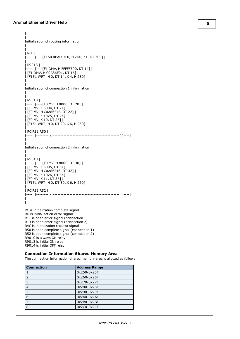```
\|| |
Initialization of routing information:
\vert \vert| |
| RD  |
|----| |----[F150 READ, H 0, H 2D0, K1, DT 300] |
\mathbf{||}| R9013 |
|----| |----[F1 DMV, H FFFFFE00, DT 14] |
| [F1 DMV, H C0A86F01, DT 16] |
| [F151 WRT, H 0, DT 14, K 4, H 230] |
\perp\|Initialization of connection 1 information:
| |
| |
| R9013 |
|----| |----[F0 MV, H 8000, DT 20] |
| [F0 MV, K 6004, DT 21] |
| [F0 MV, H C0A86F1B, DT 22] |
| [F0 MV, K 1025, DT 24] |
| [F0 MV, K 10, DT 25] |
| [F151 WRT, H 0, DT 20, K 6, H 250] |
| |
| RC R11 R50 |
|----| |--------|/|--------------------------------------------[ ]----|
\perp| |
Initialization of connection 2 information:
\|| |
| R9013 |
|----| |----[F0 MV, H 8000, DT 30] |
| [F0 MV, K 6005, DT 31] |
| [F0 MV, H C0A86F46, DT 32] |
| [F0 MV, K 1026, DT 34] |
| [F0 MV, K 11, DT 35] |
| [F151 WRT, H 0, DT 30, K 6, H 260] |
||| RC R13 R52 |
|----| |--------|/|--------------------------------------------[ ]----|
| |
\|RC is initialization complete signal
RD is initialization error signal
```
R11 is open error signal (connection 1) R13 is open error signal (connection 2) R4C is initialization request signal R50 is open complete signal (connection 1) R52 is open complete signal (connection 2) R9010 is always ON relay R9013 is initial ON relay R9014 is initial OFF relay

#### **Connection Information Shared Memory Area**

The connection information shared memory area is allotted as follows:

| <b>Connection</b> | <b>Address Range</b> |
|-------------------|----------------------|
| 1                 | 0x250-0x25F          |
| 2                 | 0x260-0x26F          |
| 3                 | 0x270-0x27F          |
| $\overline{4}$    | 0x280-0x28F          |
| 5                 | 0x290-0x29F          |
| 6                 | $0x2A0-0x2AF$        |
| $\overline{7}$    | $0x2B0-0x2BF$        |
| 8                 | $0x2C0-0x2CF$        |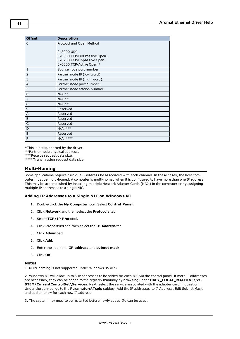| <b>Offset</b>  | <b>Description</b>            |
|----------------|-------------------------------|
| $\mathbf 0$    | Protocol and Open Method:     |
|                |                               |
|                | 0x8000 UDP.                   |
|                | 0x0300 TCP/Full Passive Open. |
|                | 0x0200 TCP/Unpassive Open.    |
|                | 0x0000 TCP/Active Open.*      |
| 1              | Source node port number.      |
| $\overline{2}$ | Partner node IP (low word).   |
| 3              | Partner node IP (high word).  |
| $\overline{4}$ | Partner node port number.     |
| 5              | Partner node station number.  |
| 6              | $N/A.**$                      |
| $\overline{7}$ | $N/A.**$                      |
| 8              | $N/A.**$                      |
| 9              | Reserved.                     |
| A              | Reserved.                     |
| B              | Reserved.                     |
| C              | Reserved.                     |
| D              | $N/A.***$                     |
| E              | Reserved.                     |
| F              | $N/A.***$                     |

\*This is not supported by the driver.

\*\*Partner node physical address.

\*\*\*Receive request data size.

<span id="page-10-0"></span>\*\*\*\*Transmission request data size.

#### **Multi-Homing**

Some applications require a unique IP address be associated with each channel. In these cases, the host computer must be multi-homed. A computer is multi-homed when it is configured to have more than one IP address. This may be accomplished by installing multiple Network Adapter Cards (NICs) in the computer or by assigning multiple IP addresses to a single NIC.

#### **Adding IP Addresses to a Single NIC on Windows NT**

- 1. Double-click the **My Computer** icon. Select **Control Panel**.
- 2. Click **Network** and then select the **Protocols** tab.
- 3. Select **TCP/IP Protocol**.
- 4. Click **Properties** and then select the **IP Address** tab.
- 5. Click **Advanced**.
- 6. Click **Add**.
- 7. Enter the additional **IP address** and **subnet mask**.
- 8. Click **OK**.

#### **Notes**

1. Multi-homing is not supported under Windows 95 or 98.

2. Windows NT will allow up to 5 IP addresses to be added for each NIC via the control panel. If more IP addresses are necessary, they can be added to the registry manually by browsing under **HKEY\_LOCAL\_MACHINE\SY-STEM\CurrentControlSet\Services**. Next, select the service associated with the adapter card in question. Under the service, go to the **Parameters\Tcpip** subkey. Add the IP addresses to IP Address. Edit Subnet Mask and add an entry for each new IP address.

3. The system may need to be restarted before newly added IPs can be used.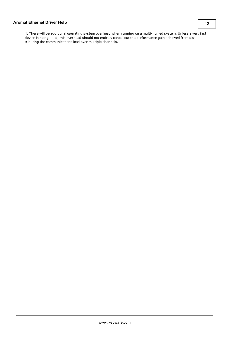4. There will be additional operating system overhead when running on a multi-homed system. Unless a very fast device is being used, this overhead should not entirely cancel out the performance gain achieved from distributing the communications load over multiple channels.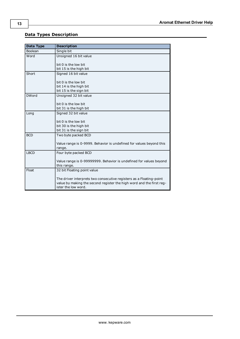# <span id="page-12-0"></span>**Data Types Description**

<span id="page-12-8"></span><span id="page-12-7"></span><span id="page-12-6"></span><span id="page-12-5"></span><span id="page-12-4"></span><span id="page-12-3"></span><span id="page-12-2"></span><span id="page-12-1"></span>

| <b>Data Type</b> | <b>Description</b>                                                                                                                          |
|------------------|---------------------------------------------------------------------------------------------------------------------------------------------|
| Boolean          | Single bit                                                                                                                                  |
| Word             | Unsigned 16 bit value                                                                                                                       |
|                  | bit 0 is the low bit                                                                                                                        |
|                  | bit 15 is the high bit                                                                                                                      |
| Short            | Signed 16 bit value                                                                                                                         |
|                  | bit 0 is the low bit                                                                                                                        |
|                  | bit 14 is the high bit                                                                                                                      |
|                  | bit 15 is the sign bit                                                                                                                      |
| <b>DWord</b>     | Unsigned 32 bit value                                                                                                                       |
|                  | bit 0 is the low bit                                                                                                                        |
|                  | bit 31 is the high bit                                                                                                                      |
| Long             | Signed 32 bit value                                                                                                                         |
|                  | bit 0 is the low bit                                                                                                                        |
|                  | bit 30 is the high bit                                                                                                                      |
|                  | bit 31 is the sign bit                                                                                                                      |
| <b>BCD</b>       | Two byte packed BCD                                                                                                                         |
|                  | Value range is 0-9999. Behavior is undefined for values beyond this                                                                         |
|                  | range.                                                                                                                                      |
| <b>LBCD</b>      | Four byte packed BCD                                                                                                                        |
|                  | Value range is 0-99999999. Behavior is undefined for values beyond                                                                          |
|                  | this range.                                                                                                                                 |
| Float            | 32 bit Floating point value                                                                                                                 |
|                  | The driver interprets two consecutive registers as a Floating-point<br>value by making the second register the high word and the first reg- |
|                  | ister the low word.                                                                                                                         |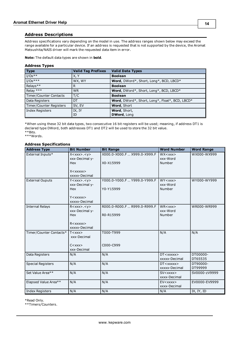## <span id="page-13-0"></span>**Address Descriptions**

Address specifications vary depending on the model in use. The address ranges shown below may exceed the range available for a particular device. If an address is requested that is not supported by the device, the Aromat Matsushita/NAIS driver will mark the requested data item in error.

**Note:** The default data types are shown in **bold**.

#### **Address Types**

| <b>Type</b>             | <b>Valid Tag Prefixes</b> | <b>Valid Data Types</b>                        |  |
|-------------------------|---------------------------|------------------------------------------------|--|
| $I/Os***$               | X, Y                      | <b>Boolean</b>                                 |  |
| $I/Os***$               | WX, WY                    | Word, DWord*, Short, Long*, BCD, LBCD*         |  |
| Relays**                | R                         | <b>Boolean</b>                                 |  |
| Relay ***               | <b>WR</b>                 | Word, DWord*, Short, Long*, BCD, LBCD*         |  |
| Timer/Counter Contacts  | T/C                       | <b>Boolean</b>                                 |  |
| Data Registers          | DT                        | Word, DWord*, Short, Long*, Float*, BCD, LBCD* |  |
| Timer/Counter Registers | SV, EV                    | Word, Short                                    |  |
| Index Registers         | IX, IY                    | Word, Short,                                   |  |
|                         | ID                        | DWord, Long                                    |  |

\*When using these 32 bit data types, two consecutive 16 bit registers will be used; meaning, if address DT1 is declared type DWord, both addresses DT1 and DT2 will be used to store the 32 bit value. \*\*Bits.

\*\*\*Words.

#### **Address Specifications**

| <b>Address Type</b>      | <b>Bit Number</b>           | <b>Bit Range</b>             | <b>Word Number</b>                                                              | <b>Word Range</b> |
|--------------------------|-----------------------------|------------------------------|---------------------------------------------------------------------------------|-------------------|
| External Inputs*         | X < xxx > . < y >           | X000.0-X000.F  X999.0-X999.F | $WX$ $\langle$ $\langle$ $\rangle$ $\times$ $\times$ $\times$ $\times$ $\times$ | WX000-WX999       |
|                          | xxx-Decimal y-              |                              | xxx-Word                                                                        |                   |
|                          | Hex                         | X0-X15999                    | Number                                                                          |                   |
|                          | X <sub>xxxx</sub>           |                              |                                                                                 |                   |
|                          | xxxxx-Decimal               |                              |                                                                                 |                   |
| <b>External Ouputs</b>   | Y < xxx > . < y >           | Y000.0-Y000.F  Y999.0-Y999.F | WY < xxx                                                                        | WY000-WY999       |
|                          | xxx-Decimal y-              |                              | xxx-Word                                                                        |                   |
|                          | Hex                         | Y0-Y15999                    | Number                                                                          |                   |
|                          |                             |                              |                                                                                 |                   |
|                          | $Y <$ xxxxx $>$             |                              |                                                                                 |                   |
|                          | xxxxx-Decimal               |                              |                                                                                 |                   |
| <b>Internal Relays</b>   | R < xxx > . < y >           | R000.0-R000.F  R999.0-R999.F | $WR<$ xxx $>$                                                                   | WR000-WR999       |
|                          | xxx-Decimal y-              |                              | xxx-Word                                                                        |                   |
|                          | Hex                         | R0-R15999                    | Number                                                                          |                   |
|                          |                             |                              |                                                                                 |                   |
|                          | $R < x$ $x$ $x$ $x$ $x$ $x$ |                              |                                                                                 |                   |
|                          | xxxxx-Decimal               |                              |                                                                                 |                   |
| Timer/Counter Contacts*  | T < xxx                     | T000-T999                    | N/A                                                                             | N/A               |
|                          | xxx-Decimal                 |                              |                                                                                 |                   |
|                          | $C<$ xxx $>$                | C000-C999                    |                                                                                 |                   |
|                          | xxx-Decimal                 |                              |                                                                                 |                   |
|                          | N/A                         | N/A                          | $DT <$ xxxxx $>$                                                                | DT00000-          |
| Data Registers           |                             |                              | xxxxx-Decimal                                                                   | DT65535           |
| <b>Special Registers</b> | N/A                         | N/A                          | $DT <$ xxxxx $>$                                                                | DT90000-          |
|                          |                             |                              | xxxxx-Decimal                                                                   | DT99999           |
| Set Value Area**         | N/A                         | N/A                          | SV <xxxx></xxxx>                                                                | SV0000-zV9999     |
|                          |                             |                              | xxxx-Decimal                                                                    |                   |
| Elapsed Value Area**     | N/A                         | N/A                          | EV < xxxx                                                                       | EV0000-EV9999     |
|                          |                             |                              | xxxx-Decimal                                                                    |                   |
| <b>Index Registers</b>   | N/A                         | N/A                          | N/A                                                                             | IX, IY, ID        |

\*Read Only.

\*\*Timers/Counters.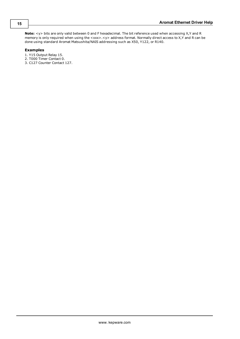**Note:** <y> bits are only valid between 0 and F hexadecimal. The bit reference used when accessing X,Y and R memory is only required when using the <xxx>.<y> address format. Normally direct access to X,Y and R can be done using standard Aromat Matsushita/NAIS addressing such as X50, Y122, or R140.

### **Examples**

- 1. Y15 Output Relay 15.
- 2. T000 Timer Contact 0.
- 3. C127 Counter Contact 127.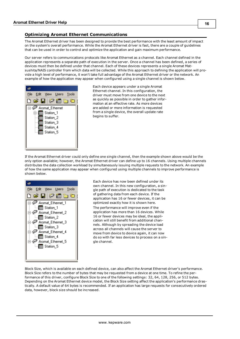# <span id="page-15-0"></span>**Optimizing Aromat Ethernet Communications**

The Aromat Ethernet driver has been designed to provide the best performance with the least amount of impact on the system's overall performance. While the Aromat Ethernet driver is fast, there are a couple of guidelines that can be used in order to control and optimize the application and gain maximum performance.

Our server refers to communications protocols like Aromat Ethernet as a channel. Each channel defined in the application represents a separate path of execution in the server. Once a channel has been defined, a series of devices must then be defined under that channel. Each of these devices represents a single Aromat Matsushita/NAIS controller from which data will be collected. While this approach to defining the application will provide a high level of performance, it won't take full advantage of the Aromat Ethernet driver or the network. An example of how the application may appear when configured using a single channel is shown below.



Each device appears under a single Aromat Ethernet channel. In this configuration, the driver must move from one device to the next as quickly as possible in order to gather information at an effective rate. As more devices are added or more information is requested from a single device, the overall update rate begins to suffer.

If the Aromat Ethernet driver could only define one single channel, then the example shown above would be the only option available; however, the Aromat Ethernet driver can define up to 16 channels. Using multiple channels distributes the data collection workload by simultaneously issuing multiple requests to the network. An example of how the same application may appear when configured using multiple channels to improve performance is shown below.



Each device has now been defined under its own channel. In this new configuration, a single path of execution is dedicated to the task of gathering data from each device. If the application has 16 or fewer devices, it can be optimized exactly how it is shown here.

The performance will improve even if the application has more than 16 devices. While 16 or fewer devices may be ideal, the application will still benefit from additional channels. Although by spreading the device load across all channels will cause the server to move from device to device again, it can now do so with far less devices to process on a single channel.

Block Size, which is available on each defined device, can also affect the Aromat Ethernet driver's performance. Block Size refers to the number of bytes that may be requested from a device at one time. To refine the performance of this driver, configure Block Size to one of the following settings: 32, 64, 128, 256, or 512 bytes. Depending on the Aromat Ethernet device model, the Block Size setting affect the application's performance drastically. A default value of 64 bytes is recommended. If an application has large requests for consecutively ordered data, however, block size should be increased.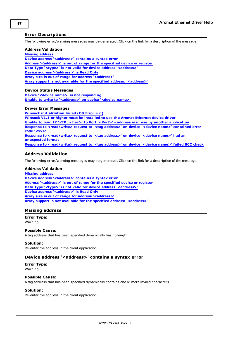## <span id="page-16-0"></span>**Error Descriptions**

The following error/warning messages may be generated. Click on the link for a description of the message.

#### **Address Validation**

**[Missing](#page-16-2) [address](#page-16-2)**

**[Device](#page-16-3) [address](#page-16-3) ['<address>'](#page-16-3) [contains](#page-16-3) [a](#page-16-3) [syntax](#page-16-3) [error](#page-16-3) [Address](#page-17-0) ['<address>'](#page-17-0) [is](#page-17-0) [out](#page-17-0) [of](#page-17-0) [range](#page-17-0) [for](#page-17-0) [the](#page-17-0) [specified](#page-17-0) [device](#page-17-0) [or](#page-17-0) [register](#page-17-0) [Data](#page-17-1) [Type](#page-17-1) ['<type>'](#page-17-1) [is](#page-17-1) [not](#page-17-1) [valid](#page-17-1) [for](#page-17-1) [device](#page-17-1) [address](#page-17-1) ['<address>'](#page-17-1) [Device](#page-17-2) [address](#page-17-2) ['<address>'](#page-17-2) [is](#page-17-2) [Read](#page-17-2) [Only](#page-17-2) [Array](#page-17-3) [size](#page-17-3) [is](#page-17-3) [out](#page-17-3) [of](#page-17-3) [range](#page-17-3) [for](#page-17-3) [address](#page-17-3) ['<address>'](#page-17-3) [Array](#page-17-4) [support](#page-17-4) [is](#page-17-4) [not](#page-17-4) [available](#page-17-4) [for](#page-17-4) [the](#page-17-4) [specified](#page-17-4) [address:](#page-17-4) ['<address>'](#page-17-4)**

#### **Device Status Messages**

**[Device](#page-18-0) ['<device](#page-18-0) [name>'](#page-18-0) [is](#page-18-0) [not](#page-18-0) [responding](#page-18-0) [Unable](#page-18-1) [to](#page-18-1) [write](#page-18-1) [to](#page-18-1) ['<address>'](#page-18-1) [on](#page-18-1) [device](#page-18-1) ['<device](#page-18-1) [name>'](#page-18-1)**

#### **Driver Error Messages**

**[Winsock](#page-18-3) [initialization](#page-18-3) [failed](#page-18-3) [\(OS](#page-18-3) [Error](#page-18-3) [=](#page-18-3) [n\)](#page-18-3) [Winsock](#page-18-4) [V1.1](#page-18-4) [or](#page-18-4) [higher](#page-18-4) [must](#page-18-4) [be](#page-18-4) [installed](#page-18-4) [to](#page-18-4) [use](#page-18-4) [the](#page-18-4) [Aromat](#page-18-4) [Ethernet](#page-18-4) [device](#page-18-4) [driver](#page-18-4) [Unable](#page-19-0) [to](#page-19-0) [bind](#page-19-0) [IP](#page-19-0) ['<IP](#page-19-0) [in](#page-19-0) [hex>'](#page-19-0) [to](#page-19-0) [Port](#page-19-0) ['<Port>'](#page-19-0) [-](#page-19-0) [address](#page-19-0) [is](#page-19-0) [in](#page-19-0) [use](#page-19-0) [by](#page-19-0) [another](#page-19-0) [application](#page-19-0) [Response](#page-19-1) [to](#page-19-1) [<read/write>](#page-19-1) [request](#page-19-1) [to](#page-19-1) ['<tag](#page-19-1) [address>'](#page-19-1) [on](#page-19-1) [device](#page-19-1) ['<device](#page-19-1) [name>'](#page-19-1) [contained](#page-19-1) [error](#page-19-1) [code](#page-19-1) ['<xx>'](#page-19-1) [Response](#page-19-2) [to](#page-19-2) [<read/write>](#page-19-2) [request](#page-19-2) [to](#page-19-2) ['<tag](#page-19-2) [address>'](#page-19-2) [on](#page-19-2) [device](#page-19-2) ['<device](#page-19-2) [name>'](#page-19-2) [had](#page-19-2) [an](#page-19-2) [unexpected](#page-19-2) [format](#page-19-2) [Response](#page-19-3) [to](#page-19-3) [<read/write>](#page-19-3) [request](#page-19-3) [to](#page-19-3) ['<tag](#page-19-3) [address>'](#page-19-3) [on](#page-19-3) [device](#page-19-3) ['<device](#page-19-3) [name>'](#page-19-3) [failed](#page-19-3) [BCC](#page-19-3) [check](#page-19-3)**

#### <span id="page-16-1"></span>**Address Validation**

The following error/warning messages may be generated. Click on the link for a description of the message.

#### **Address Validation**

**[Missing](#page-16-2) [address](#page-16-2) [Device](#page-16-3) [address](#page-16-3) ['<address>'](#page-16-3) [contains](#page-16-3) [a](#page-16-3) [syntax](#page-16-3) [error](#page-16-3) [Address](#page-17-0) ['<address>'](#page-17-0) [is](#page-17-0) [out](#page-17-0) [of](#page-17-0) [range](#page-17-0) [for](#page-17-0) [the](#page-17-0) [specified](#page-17-0) [device](#page-17-0) [or](#page-17-0) [register](#page-17-0) [Data](#page-17-1) [Type](#page-17-1) ['<type>'](#page-17-1) [is](#page-17-1) [not](#page-17-1) [valid](#page-17-1) [for](#page-17-1) [device](#page-17-1) [address](#page-17-1) ['<address>'](#page-17-1) [Device](#page-17-2) [address](#page-17-2) ['<address>'](#page-17-2) [is](#page-17-2) [Read](#page-17-2) [Only](#page-17-2) [Array](#page-17-3) [size](#page-17-3) [is](#page-17-3) [out](#page-17-3) [of](#page-17-3) [range](#page-17-3) [for](#page-17-3) [address](#page-17-3) ['<address>'](#page-17-3) [Array](#page-17-4) [support](#page-17-4) [is](#page-17-4) [not](#page-17-4) [available](#page-17-4) [for](#page-17-4) [the](#page-17-4) [specified](#page-17-4) [address:](#page-17-4) ['<address>'](#page-17-4)**

#### <span id="page-16-2"></span>**Missing address**

**Error Type:** Warning

#### **Possible Cause:**

A tag address that has been specified dynamically has no length.

#### **Solution:**

<span id="page-16-3"></span>Re-enter the address in the client application.

#### Device address '<address>' contains a syntax error

#### **Error Type:** Warning

#### **Possible Cause:**

A tag address that has been specified dynamically contains one or more invalid characters.

#### **Solution:**

Re-enter the address in the client application.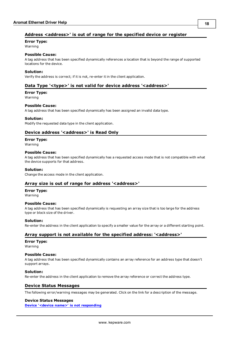# <span id="page-17-0"></span>**Address <address>' is out of range for the specified device or register**

**Error Type:**

Warning

## **Possible Cause:**

A tag address that has been specified dynamically references a location that is beyond the range of supported locations for the device.

#### **Solution:**

<span id="page-17-1"></span>Verify the address is correct; if it is not, re-enter it in the client application.

### Data Type '<type>' is not valid for device address '<address>'

# **Error Type:**

Warning

#### **Possible Cause:**

A tag address that has been specified dynamically has been assigned an invalid data type.

#### **Solution:**

<span id="page-17-2"></span>Modify the requested data type in the client application.

## Device address '<address>' is Read Only

#### **Error Type:**

Warning

#### **Possible Cause:**

A tag address that has been specified dynamically has a requested access mode that is not compatible with what the device supports for that address.

#### **Solution:**

<span id="page-17-3"></span>Change the access mode in the client application.

#### **Array size is out of range for address '<address>'**

# **Error Type:**

Warning

#### **Possible Cause:**

A tag address that has been specified dynamically is requesting an array size that is too large for the address type or block size of the driver.

#### **Solution:**

<span id="page-17-4"></span>Re-enter the address in the client application to specify a smaller value for the array or a different starting point.

#### **Array support is not available for the specified address: '<address>'**

#### **Error Type:**

Warning

#### **Possible Cause:**

A tag address that has been specified dynamically contains an array reference for an address type that doesn't support arrays.

#### **Solution:**

<span id="page-17-5"></span>Re-enter the address in the client application to remove the array reference or correct the address type.

#### **Device Status Messages**

The following error/warning messages may be generated. Click on the link for a description of the message.

#### **Device Status Messages**

**[Device](#page-18-0) ['<device](#page-18-0) [name>'](#page-18-0) [is](#page-18-0) [not](#page-18-0) [responding](#page-18-0)**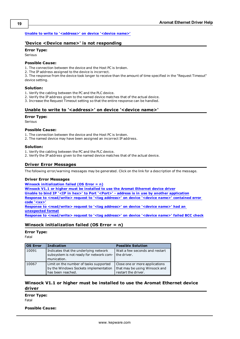#### <span id="page-18-0"></span>**[Unable](#page-18-1) [to](#page-18-1) [write](#page-18-1) [to](#page-18-1) ['<address>'](#page-18-1) [on](#page-18-1) [device](#page-18-1) ['<device](#page-18-1) [name>'](#page-18-1)**

## **'Device <Device name>' is not responding**

## **Error Type:**

Serious

#### **Possible Cause:**

1. The connection between the device and the Host PC is broken.

2. The IP address assigned to the device is incorrect.

3. The response from the device took longer to receive than the amount of time specified in the "Request Timeout" device setting.

#### **Solution:**

1. Verify the cabling between the PC and the PLC device.

2. Verify the IP address given to the named device matches that of the actual device.

<span id="page-18-1"></span>3. Increase the Request Timeout setting so that the entire response can be handled.

#### Unable to write to '<address>' on device '<device name>'

#### **Error Type:**

Serious

#### **Possible Cause:**

1. The connection between the device and the Host PC is broken.

2. The named device may have been assigned an incorrect IP address.

#### **Solution:**

1. Verify the cabling between the PC and the PLC device.

<span id="page-18-2"></span>2. Verify the IP address given to the named device matches that of the actual device.

## **Driver Error Messages**

The following error/warning messages may be generated. Click on the link for a description of the message.

#### **Driver Error Messages**

**[Winsock](#page-18-3) [initialization](#page-18-3) [failed](#page-18-3) [\(OS](#page-18-3) [Error](#page-18-3) [=](#page-18-3) [n\)](#page-18-3)**

**[Winsock](#page-18-4) [V1.1](#page-18-4) [or](#page-18-4) [higher](#page-18-4) [must](#page-18-4) [be](#page-18-4) [installed](#page-18-4) [to](#page-18-4) [use](#page-18-4) [the](#page-18-4) [Aromat](#page-18-4) [Ethernet](#page-18-4) [device](#page-18-4) [driver](#page-18-4)**

**[Unable](#page-19-0) [to](#page-19-0) [bind](#page-19-0) [IP](#page-19-0) ['<IP](#page-19-0) [in](#page-19-0) [hex>'](#page-19-0) [to](#page-19-0) [Port](#page-19-0) ['<Port>'](#page-19-0) [-](#page-19-0) [address](#page-19-0) [is](#page-19-0) [in](#page-19-0) [use](#page-19-0) [by](#page-19-0) [another](#page-19-0) [application](#page-19-0)**

**[Response](#page-19-1) [to](#page-19-1) [<read/write>](#page-19-1) [request](#page-19-1) [to](#page-19-1) ['<tag](#page-19-1) [address>'](#page-19-1) [on](#page-19-1) [device](#page-19-1) ['<device](#page-19-1) [name>'](#page-19-1) [contained](#page-19-1) [error](#page-19-1) [code](#page-19-1) ['<xx>'](#page-19-1)**

**[Response](#page-19-2) [to](#page-19-2) [<read/write>](#page-19-2) [request](#page-19-2) [to](#page-19-2) ['<tag](#page-19-2) [address>'](#page-19-2) [on](#page-19-2) [device](#page-19-2) ['<device](#page-19-2) [name>'](#page-19-2) [had](#page-19-2) [an](#page-19-2) [unexpected](#page-19-2) [format](#page-19-2)**

<span id="page-18-3"></span>**[Response](#page-19-3) [to](#page-19-3) [<read/write>](#page-19-3) [request](#page-19-3) [to](#page-19-3) ['<tag](#page-19-3) [address>'](#page-19-3) [on](#page-19-3) [device](#page-19-3) ['<device](#page-19-3) [name>'](#page-19-3) [failed](#page-19-3) [BCC](#page-19-3) [check](#page-19-3)**

## **Winsock initialization failed (OS Error = n)**

#### **Error Type:**

Fatal

| <b>OS Error</b> | <b>Indication</b>                                                                                    | <b>Possible Solution</b>                                                               |
|-----------------|------------------------------------------------------------------------------------------------------|----------------------------------------------------------------------------------------|
| 10091           | Indicates that the underlying network<br>subsystem is not ready for network com-<br>munication.      | Wait a few seconds and restart<br>the driver.                                          |
| 10067           | Limit on the number of tasks supported<br>by the Windows Sockets implementation<br>has been reached. | Close one or more applications<br>that may be using Winsock and<br>restart the driver. |

## <span id="page-18-4"></span>**Winsock V1.1 or higher must be installed to use the Aromat Ethernet device driver**

**Error Type:**

Fatal

**Possible Cause:**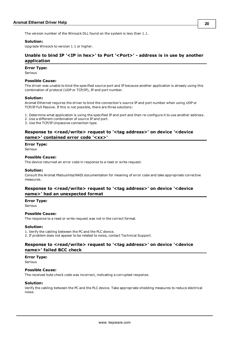The version number of the Winsock DLL found on the system is less than 1.1.

#### **Solution:**

<span id="page-19-0"></span>Upgrade Winsock to version 1.1 or higher.

# **Unable to bind IP '<IP in hex>' to Port '<Port>' - address is in use by another application**

#### **Error Type:**

Serious

#### **Possible Cause:**

The driver was unable to bind the specified source port and IP because another application is already using this combination of protocol (UDP or TCP/IP), IP and port number.

#### **Solution:**

Aromat Ethernet requires the driver to bind the connection's source IP and port number when using UDP or TCP/IP Full Passive. If this is not possible, there are three solutions:

1. Determine what application is using the specified IP and port and then re-configure it to use another address.

2. Use a different combination of source IP and port.

<span id="page-19-1"></span>3. Use the TCP/IP Unpassive connection type.

## **Response to <read/write> request to '<tag address>' on device '<device name>' contained error code '<xx>'**

#### **Error Type:**

Serious

#### **Possible Cause:**

The device returned an error code in response to a read or write request.

#### **Solution:**

Consult the Aromat Matsushita/NAIS documentation for meaning of error code and take appropriate corrective measures.

### <span id="page-19-2"></span>**Response to <read/write> request to '<tag address>' on device '<device name>' had an unexpected format**

#### **Error Type:**

Serious

#### **Possible Cause:**

The response to a read or write request was not in the correct format.

#### **Solution:**

1. Verify the cabling between the PC and the PLC device. 2. If problem does not appear to be related to noise, contact Technical Support.

## <span id="page-19-3"></span>**Response to <read/write> request to '<tag address>' on device '<device name>' failed BCC check**

#### **Error Type:**

Serious

#### **Possible Cause:**

The received byte check code was incorrect, indicating a corrupted response.

#### **Solution:**

Verify the cabling between the PC and the PLC device. Take appropriate shielding measures to reduce electrical noise.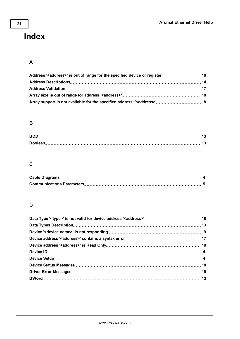# <span id="page-20-0"></span>**Index**

# **A**

| Array support is not available for the specified address: ' <address>' 18</address> |  |
|-------------------------------------------------------------------------------------|--|

# **B**

# **C**

# **D**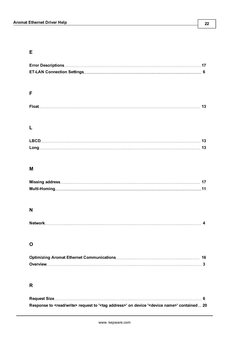# **E**

# **F**

|--|

# **L**

# **M**

# **N**

|--|

# **O**

# **R**

| Response to <read write=""> request to '<tag address="">' on device '<device name="">' contained . 20</device></tag></read> |  |
|-----------------------------------------------------------------------------------------------------------------------------|--|